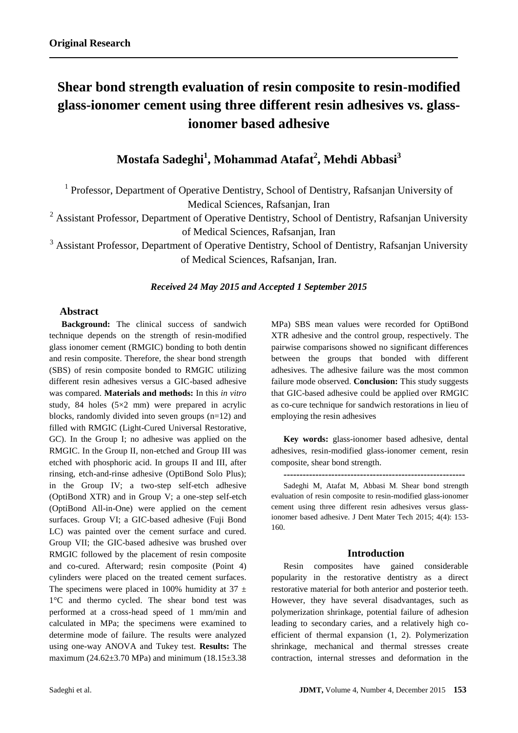# **Shear bond strength evaluation of resin composite to resin-modified glass-ionomer cement using three different resin adhesives vs. glassionomer based adhesive**

# **Mostafa Sadeghi<sup>1</sup> , Mohammad Atafat<sup>2</sup> , Mehdi Abbasi<sup>3</sup>**

<sup>1</sup> Professor, Department of Operative Dentistry, School of Dentistry, Rafsanjan University of Medical Sciences, Rafsanjan, Iran

<sup>2</sup> Assistant Professor, Department of Operative Dentistry, School of Dentistry, Rafsanjan University of Medical Sciences, Rafsanjan, Iran

 $3$  Assistant Professor, Department of Operative Dentistry, School of Dentistry, Rafsanjan University of Medical Sciences, Rafsanjan, Iran.

## *Received 24 May 2015 and Accepted 1 September 2015*

#### **Abstract**

**Background:** The clinical success of sandwich technique depends on the strength of resin-modified glass ionomer cement (RMGIC) bonding to both dentin and resin composite. Therefore, the shear bond strength (SBS) of resin composite bonded to RMGIC utilizing different resin adhesives versus a GIC-based adhesive was compared. **Materials and methods:** In this *in vitro* study, 84 holes (5×2 mm) were prepared in acrylic blocks, randomly divided into seven groups (n=12) and filled with RMGIC (Light-Cured Universal Restorative, GC). In the Group I; no adhesive was applied on the RMGIC. In the Group II, non-etched and Group III was etched with phosphoric acid. In groups II and III, after rinsing, etch-and-rinse adhesive (OptiBond Solo Plus); in the Group IV; a two-step self-etch adhesive (OptiBond XTR) and in Group V; a one-step self-etch (OptiBond All-in-One) were applied on the cement surfaces. Group VI; a GIC-based adhesive (Fuji Bond LC) was painted over the cement surface and cured. Group VII; the GIC-based adhesive was brushed over RMGIC followed by the placement of resin composite and co-cured. Afterward; resin composite (Point 4) cylinders were placed on the treated cement surfaces. The specimens were placed in 100% humidity at  $37 \pm$ 1°C and thermo cycled. The shear bond test was performed at a cross-head speed of 1 mm/min and calculated in MPa; the specimens were examined to determine mode of failure. The results were analyzed using one-way ANOVA and Tukey test. **Results:** The maximum (24.62 $\pm$ 3.70 MPa) and minimum (18.15 $\pm$ 3.38 MPa) SBS mean values were recorded for OptiBond XTR adhesive and the control group, respectively. The pairwise comparisons showed no significant differences between the groups that bonded with different adhesives. The adhesive failure was the most common failure mode observed. **Conclusion:** This study suggests that GIC-based adhesive could be applied over RMGIC as co-cure technique for sandwich restorations in lieu of employing the resin adhesives

**Key words:** glass-ionomer based adhesive, dental adhesives, resin-modified glass-ionomer cement, resin composite, shear bond strength.

**---------------------------------------------------------** Sadeghi M, Atafat M, Abbasi M. Shear bond strength evaluation of resin composite to resin-modified glass-ionomer cement using three different resin adhesives versus glassionomer based adhesive. J Dent Mater Tech 2015; 4(4): 153- 160.

#### **Introduction**

Resin composites have gained considerable popularity in the restorative dentistry as a direct restorative material for both anterior and posterior teeth. However, they have several disadvantages, such as polymerization shrinkage, potential failure of adhesion leading to secondary caries, and a relatively high coefficient of thermal expansion (1, 2). Polymerization shrinkage, mechanical and thermal stresses create contraction, internal stresses and deformation in the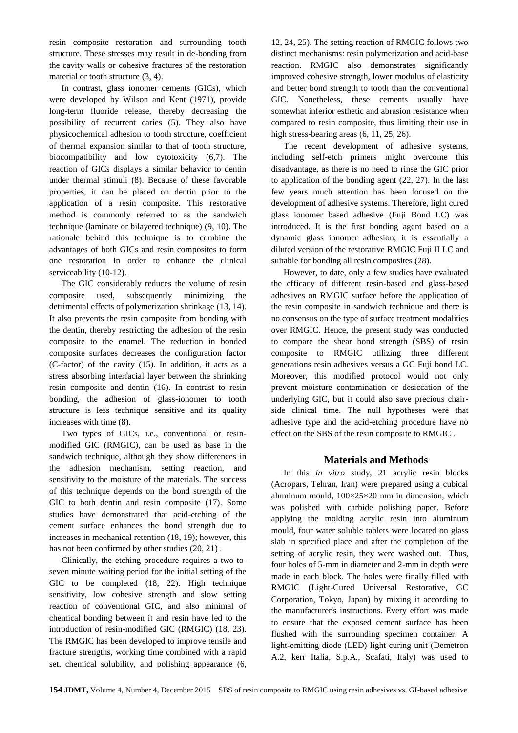resin composite restoration and surrounding tooth structure. These stresses may result in de-bonding from the cavity walls or cohesive fractures of the restoration material or tooth structure (3, 4).

In contrast, glass ionomer cements (GICs), which were developed by Wilson and Kent (1971), provide long-term fluoride release, thereby decreasing the possibility of recurrent caries (5). They also have physicochemical adhesion to tooth structure, coefficient of thermal expansion similar to that of tooth structure, biocompatibility and low cytotoxicity (6,7). The reaction of GICs displays a similar behavior to dentin under thermal stimuli (8). Because of these favorable properties, it can be placed on dentin prior to the application of a resin composite. This restorative method is commonly referred to as the sandwich technique (laminate or bilayered technique) (9, 10). The rationale behind this technique is to combine the advantages of both GICs and resin composites to form one restoration in order to enhance the clinical serviceability (10-12).

The GIC considerably reduces the volume of resin composite used, subsequently minimizing the detrimental effects of polymerization shrinkage (13, 14). It also prevents the resin composite from bonding with the dentin, thereby restricting the adhesion of the resin composite to the enamel. The reduction in bonded composite surfaces decreases the configuration factor (C-factor) of the cavity (15). In addition, it acts as a stress absorbing interfacial layer between the shrinking resin composite and dentin (16). In contrast to resin bonding, the adhesion of glass-ionomer to tooth structure is less technique sensitive and its quality increases with time (8).

Two types of GICs, i.e., conventional or resinmodified GIC (RMGIC), can be used as base in the sandwich technique, although they show differences in the adhesion mechanism, setting reaction, and sensitivity to the moisture of the materials. The success of this technique depends on the bond strength of the GIC to both dentin and resin composite (17). Some studies have demonstrated that acid-etching of the cement surface enhances the bond strength due to increases in mechanical retention (18, 19); however, this has not been confirmed by other studies (20, 21) .

Clinically, the etching procedure requires a two-toseven minute waiting period for the initial setting of the GIC to be completed (18, 22). High technique sensitivity, low cohesive strength and slow setting reaction of conventional GIC, and also minimal of chemical bonding between it and resin have led to the introduction of resin-modified GIC (RMGIC) (18, 23). The RMGIC has been developed to improve tensile and fracture strengths, working time combined with a rapid set, chemical solubility, and polishing appearance (6, 12, 24, 25). The setting reaction of RMGIC follows two distinct mechanisms: resin polymerization and acid-base reaction. RMGIC also demonstrates significantly improved cohesive strength, lower modulus of elasticity and better bond strength to tooth than the conventional GIC. Nonetheless, these cements usually have somewhat inferior esthetic and abrasion resistance when compared to resin composite, thus limiting their use in high stress-bearing areas  $(6, 11, 25, 26)$ .

The recent development of adhesive systems, including self-etch primers might overcome this disadvantage, as there is no need to rinse the GIC prior to application of the bonding agent (22, 27). In the last few years much attention has been focused on the development of adhesive systems. Therefore, light cured glass ionomer based adhesive (Fuji Bond LC) was introduced. It is the first bonding agent based on a dynamic glass ionomer adhesion; it is essentially a diluted version of the restorative RMGIC Fuji II LC and suitable for bonding all resin composites (28).

However, to date, only a few studies have evaluated the efficacy of different resin-based and glass-based adhesives on RMGIC surface before the application of the resin composite in sandwich technique and there is no consensus on the type of surface treatment modalities over RMGIC. Hence, the present study was conducted to compare the shear bond strength (SBS) of resin composite to RMGIC utilizing three different generations resin adhesives versus a GC Fuji bond LC. Moreover, this modified protocol would not only prevent moisture contamination or desiccation of the underlying GIC, but it could also save precious chairside clinical time. The null hypotheses were that adhesive type and the acid-etching procedure have no effect on the SBS of the resin composite to RMGIC .

#### **Materials and Methods**

In this *in vitro* study, 21 acrylic resin blocks (Acropars, Tehran, Iran) were prepared using a cubical aluminum mould, 100×25×20 mm in dimension, which was polished with carbide polishing paper. Before applying the molding acrylic resin into aluminum mould, four water soluble tablets were located on glass slab in specified place and after the completion of the setting of acrylic resin, they were washed out. Thus, four holes of 5-mm in diameter and 2-mm in depth were made in each block. The holes were finally filled with RMGIC (Light-Cured Universal Restorative, GC Corporation, Tokyo, Japan) by mixing it according to the manufacturer's instructions. Every effort was made to ensure that the exposed cement surface has been flushed with the surrounding specimen container. A light-emitting diode (LED) light curing unit (Demetron A.2, kerr Italia, S.p.A., Scafati, Italy) was used to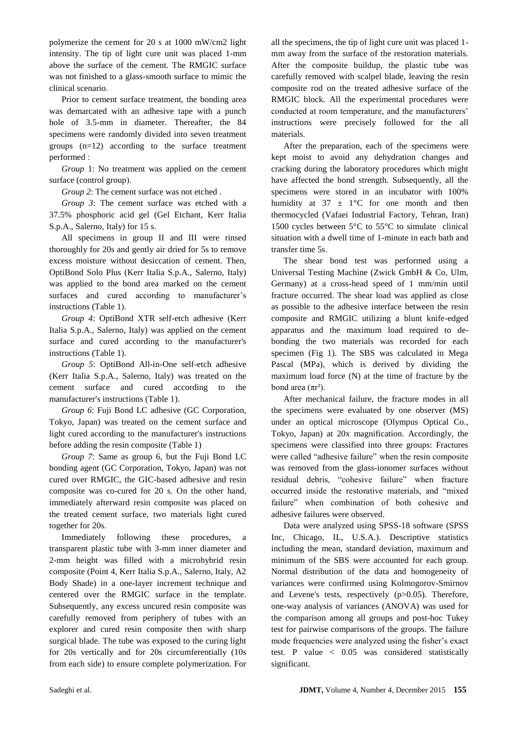polymerize the cement for 20 s at 1000 mW/cm2 light intensity. The tip of light cure unit was placed 1-mm above the surface of the cement. The RMGIC surface was not finished to a glass-smooth surface to mimic the clinical scenario.

Prior to cement surface treatment, the bonding area was demarcated with an adhesive tape with a punch hole of 3.5-mm in diameter. Thereafter, the 84 specimens were randomly divided into seven treatment groups (n=12) according to the surface treatment performed :

*Group* 1: No treatment was applied on the cement surface (control group).

*Group 2*: The cement surface was not etched .

*Group 3*: The cement surface was etched with a 37.5% phosphoric acid gel (Gel Etchant, Kerr Italia S.p.A., Salerno, Italy) for 15 s.

All specimens in group II and III were rinsed thoroughly for 20s and gently air dried for 5s to remove excess moisture without desiccation of cement. Then, OptiBond Solo Plus (Kerr Italia S.p.A., Salerno, Italy) was applied to the bond area marked on the cement surfaces and cured according to manufacturer's instructions (Table 1).

*Group 4*: OptiBond XTR self-etch adhesive (Kerr Italia S.p.A., Salerno, Italy) was applied on the cement surface and cured according to the manufacturer's instructions (Table 1).

*Group 5*: OptiBond All-in-One self-etch adhesive (Kerr Italia S.p.A., Salerno, Italy) was treated on the cement surface and cured according to the manufacturer's instructions (Table 1).

*Group 6*: Fuji Bond LC adhesive (GC Corporation, Tokyo, Japan) was treated on the cement surface and light cured according to the manufacturer's instructions before adding the resin composite (Table 1)

*Group 7*: Same as group 6, but the Fuji Bond LC bonding agent (GC Corporation, Tokyo, Japan) was not cured over RMGIC, the GIC-based adhesive and resin composite was co-cured for 20 s. On the other hand, immediately afterward resin composite was placed on the treated cement surface, two materials light cured together for 20s.

Immediately following these procedures, a transparent plastic tube with 3-mm inner diameter and 2-mm height was filled with a microhybrid resin composite (Point 4, Kerr Italia S.p.A., Salerno, Italy, A2 Body Shade) in a one-layer increment technique and centered over the RMGIC surface in the template. Subsequently, any excess uncured resin composite was carefully removed from periphery of tubes with an explorer and cured resin composite then with sharp surgical blade. The tube was exposed to the curing light for 20s vertically and for 20s circumferentially (10s from each side) to ensure complete polymerization. For

all the specimens, the tip of light cure unit was placed 1 mm away from the surface of the restoration materials. After the composite buildup, the plastic tube was carefully removed with scalpel blade, leaving the resin composite rod on the treated adhesive surface of the RMGIC block. All the experimental procedures were conducted at room temperature, and the manufacturers' instructions were precisely followed for the all materials.

After the preparation, each of the specimens were kept moist to avoid any dehydration changes and cracking during the laboratory procedures which might have affected the bond strength. Subsequently, all the specimens were stored in an incubator with 100% humidity at  $37 \pm 1$ °C for one month and then thermocycled (Vafaei Industrial Factory, Tehran, Iran) 1500 cycles between 5°C to 55°C to simulate clinical situation with a dwell time of 1-minute in each bath and transfer time 5s.

The shear bond test was performed using a Universal Testing Machine (Zwick GmbH & Co, Ulm, Germany) at a cross-head speed of 1 mm/min until fracture occurred. The shear load was applied as close as possible to the adhesive interface between the resin composite and RMGIC utilizing a blunt knife-edged apparatus and the maximum load required to debonding the two materials was recorded for each specimen (Fig 1). The SBS was calculated in Mega Pascal (MPa), which is derived by dividing the maximum load force (N) at the time of fracture by the bond area  $(πr²)$ .

After mechanical failure, the fracture modes in all the specimens were evaluated by one observer (MS) under an optical microscope (Olympus Optical Co., Tokyo, Japan) at 20x magnification. Accordingly, the specimens were classified into three groups: Fractures were called "adhesive failure" when the resin composite was removed from the glass-ionomer surfaces without residual debris, "cohesive failure" when fracture occurred inside the restorative materials, and "mixed failure" when combination of both cohesive and adhesive failures were observed.

Data were analyzed using SPSS-18 software (SPSS Inc, Chicago, IL, U.S.A.). Descriptive statistics including the mean, standard deviation, maximum and minimum of the SBS were accounted for each group. Normal distribution of the data and homogeneity of variances were confirmed using Kolmogorov-Smirnov and Levene's tests, respectively (p>0.05). Therefore, one-way analysis of variances (ANOVA) was used for the comparison among all groups and post-hoc Tukey test for pairwise comparisons of the groups. The failure mode frequencies were analyzed using the fisher's exact test. P value < 0.05 was considered statistically significant.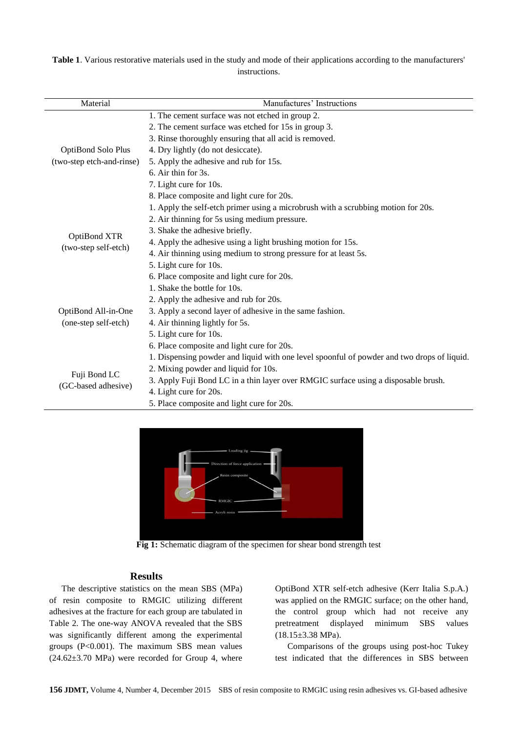**Table 1**. Various restorative materials used in the study and mode of their applications according to the manufacturers' instructions.

| Material                                               | Manufactures' Instructions                                                                 |  |  |  |  |
|--------------------------------------------------------|--------------------------------------------------------------------------------------------|--|--|--|--|
|                                                        | 1. The cement surface was not etched in group 2.                                           |  |  |  |  |
|                                                        | 2. The cement surface was etched for 15s in group 3.                                       |  |  |  |  |
|                                                        | 3. Rinse thoroughly ensuring that all acid is removed.                                     |  |  |  |  |
| <b>OptiBond Solo Plus</b><br>(two-step etch-and-rinse) | 4. Dry lightly (do not desiccate).                                                         |  |  |  |  |
|                                                        | 5. Apply the adhesive and rub for 15s.                                                     |  |  |  |  |
|                                                        | 6. Air thin for 3s.                                                                        |  |  |  |  |
|                                                        | 7. Light cure for 10s.                                                                     |  |  |  |  |
|                                                        | 8. Place composite and light cure for 20s.                                                 |  |  |  |  |
|                                                        | 1. Apply the self-etch primer using a microbrush with a scrubbing motion for 20s.          |  |  |  |  |
|                                                        | 2. Air thinning for 5s using medium pressure.                                              |  |  |  |  |
|                                                        | 3. Shake the adhesive briefly.                                                             |  |  |  |  |
| OptiBond XTR                                           | 4. Apply the adhesive using a light brushing motion for 15s.                               |  |  |  |  |
| (two-step self-etch)                                   | 4. Air thinning using medium to strong pressure for at least 5s.                           |  |  |  |  |
|                                                        | 5. Light cure for 10s.                                                                     |  |  |  |  |
|                                                        | 6. Place composite and light cure for 20s.                                                 |  |  |  |  |
|                                                        | 1. Shake the bottle for 10s.                                                               |  |  |  |  |
|                                                        | 2. Apply the adhesive and rub for 20s.                                                     |  |  |  |  |
| OptiBond All-in-One<br>(one-step self-etch)            | 3. Apply a second layer of adhesive in the same fashion.                                   |  |  |  |  |
|                                                        | 4. Air thinning lightly for 5s.                                                            |  |  |  |  |
|                                                        | 5. Light cure for 10s.                                                                     |  |  |  |  |
|                                                        | 6. Place composite and light cure for 20s.                                                 |  |  |  |  |
|                                                        | 1. Dispensing powder and liquid with one level spoonful of powder and two drops of liquid. |  |  |  |  |
|                                                        | 2. Mixing powder and liquid for 10s.                                                       |  |  |  |  |
| Fuji Bond LC                                           | 3. Apply Fuji Bond LC in a thin layer over RMGIC surface using a disposable brush.         |  |  |  |  |
| (GC-based adhesive)                                    | 4. Light cure for 20s.                                                                     |  |  |  |  |
|                                                        | 5. Place composite and light cure for 20s.                                                 |  |  |  |  |



**Fig 1:** Schematic diagram of the specimen for shear bond strength test

### **Results**

The descriptive statistics on the mean SBS (MPa) of resin composite to RMGIC utilizing different adhesives at the fracture for each group are tabulated in Table 2. The one-way ANOVA revealed that the SBS was significantly different among the experimental groups (P<0.001). The maximum SBS mean values  $(24.62 \pm 3.70 \text{ MPa})$  were recorded for Group 4, where

OptiBond XTR self-etch adhesive (Kerr Italia S.p.A.) was applied on the RMGIC surface; on the other hand, the control group which had not receive any pretreatment displayed minimum SBS values  $(18.15\pm3.38 \text{ MPa}).$ 

Comparisons of the groups using post-hoc Tukey test indicated that the differences in SBS between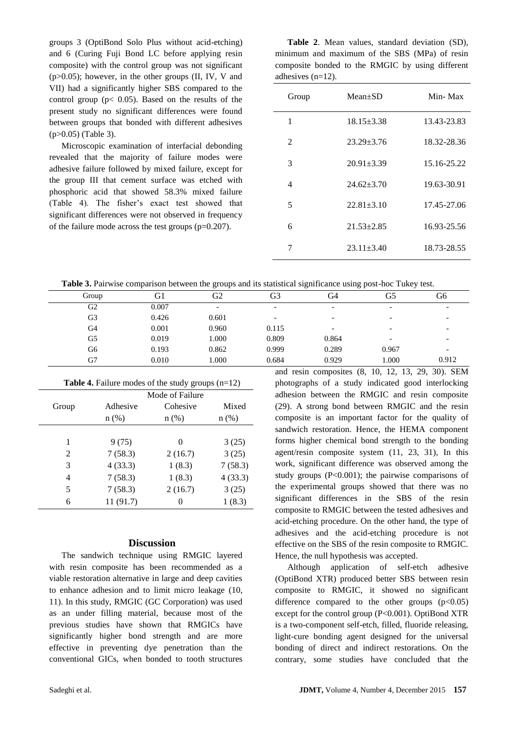groups 3 (OptiBond Solo Plus without acid-etching) and 6 (Curing Fuji Bond LC before applying resin composite) with the control group was not significant (p>0.05); however, in the other groups (II, IV, V and VII) had a significantly higher SBS compared to the control group ( $p < 0.05$ ). Based on the results of the present study no significant differences were found between groups that bonded with different adhesives (p>0.05) (Table 3).

Microscopic examination of interfacial debonding revealed that the majority of failure modes were adhesive failure followed by mixed failure, except for the group III that cement surface was etched with phosphoric acid that showed 58.3% mixed failure (Table 4). The fisher's exact test showed that significant differences were not observed in frequency of the failure mode across the test groups (p=0.207).

**Table 2**. Mean values, standard deviation (SD), minimum and maximum of the SBS (MPa) of resin composite bonded to the RMGIC by using different adhesives (n=12).

| Group | $Mean+SD$        | Min-Max     |
|-------|------------------|-------------|
| 1     | $18.15 \pm 3.38$ | 13.43-23.83 |
| 2     | $23.29 \pm 3.76$ | 18.32-28.36 |
| 3     | $20.91 \pm 3.39$ | 15.16-25.22 |
| 4     | $24.62 + 3.70$   | 19.63-30.91 |
| 5     | $22.81 \pm 3.10$ | 17.45-27.06 |
| 6     | $21.53 \pm 2.85$ | 16.93-25.56 |
| 7     | $23.11 \pm 3.40$ | 18.73-28.55 |

**Table 3.** Pairwise comparison between the groups and its statistical significance using post-hoc Tukey test.

|       |       |                          |                          |                          | - -                      |                          |
|-------|-------|--------------------------|--------------------------|--------------------------|--------------------------|--------------------------|
| Group | GI    | G <sub>2</sub>           | G3                       | G4                       | G5                       | G6                       |
| G2    | 0.007 | $\overline{\phantom{0}}$ | $\overline{\phantom{a}}$ | $\overline{\phantom{a}}$ | $\overline{\phantom{0}}$ | $\overline{\phantom{0}}$ |
| G3    | 0.426 | 0.601                    | $\overline{\phantom{0}}$ | $\overline{\phantom{a}}$ |                          |                          |
| G4    | 0.001 | 0.960                    | 0.115                    | $\overline{\phantom{a}}$ | $\overline{\phantom{0}}$ |                          |
| G5    | 0.019 | 1.000                    | 0.809                    | 0.864                    |                          |                          |
| G6    | 0.193 | 0.862                    | 0.999                    | 0.289                    | 0.967                    | $\overline{\phantom{0}}$ |
| G7    | 0.010 | 1.000                    | 0.684                    | 0.929                    | 1.000                    | 0.912                    |

| <b>Table 4.</b> Failure modes of the study groups $(n=12)$ |  |  |  |  |  |  |
|------------------------------------------------------------|--|--|--|--|--|--|
|------------------------------------------------------------|--|--|--|--|--|--|

|       | Mode of Failure |          |         |  |  |
|-------|-----------------|----------|---------|--|--|
| Group | Adhesive        | Cohesive | Mixed   |  |  |
|       | n(%)            | $n$ (%)  | $n$ (%) |  |  |
|       |                 |          |         |  |  |
| 1     | 9(75)           | 0        | 3(25)   |  |  |
| 2     | 7(58.3)         | 2(16.7)  | 3(25)   |  |  |
| 3     | 4(33.3)         | 1(8.3)   | 7(58.3) |  |  |
| 4     | 7(58.3)         | 1(8.3)   | 4(33.3) |  |  |
| 5     | 7(58.3)         | 2(16.7)  | 3(25)   |  |  |
| 6     | 11(91.7)        | 0        | 1(8.3)  |  |  |

### **Discussion**

The sandwich technique using RMGIC layered with resin composite has been recommended as a viable restoration alternative in large and deep cavities to enhance adhesion and to limit micro leakage (10, 11). In this study, RMGIC (GC Corporation) was used as an under filling material, because most of the previous studies have shown that RMGICs have significantly higher bond strength and are more effective in preventing dye penetration than the conventional GICs, when bonded to tooth structures and resin composites (8, 10, 12, 13, 29, 30). SEM photographs of a study indicated good interlocking adhesion between the RMGIC and resin composite (29). A strong bond between RMGIC and the resin composite is an important factor for the quality of sandwich restoration. Hence, the HEMA component forms higher chemical bond strength to the bonding agent/resin composite system (11, 23, 31), In this work, significant difference was observed among the study groups (P<0.001); the pairwise comparisons of the experimental groups showed that there was no significant differences in the SBS of the resin composite to RMGIC between the tested adhesives and acid-etching procedure. On the other hand, the type of adhesives and the acid-etching procedure is not effective on the SBS of the resin composite to RMGIC. Hence, the null hypothesis was accepted.

Although application of self-etch adhesive (OptiBond XTR) produced better SBS between resin composite to RMGIC, it showed no significant difference compared to the other groups  $(p<0.05)$ except for the control group (P<0.001). OptiBond XTR is a two-component self-etch, filled, fluoride releasing, light-cure bonding agent designed for the universal bonding of direct and indirect restorations. On the contrary, some studies have concluded that the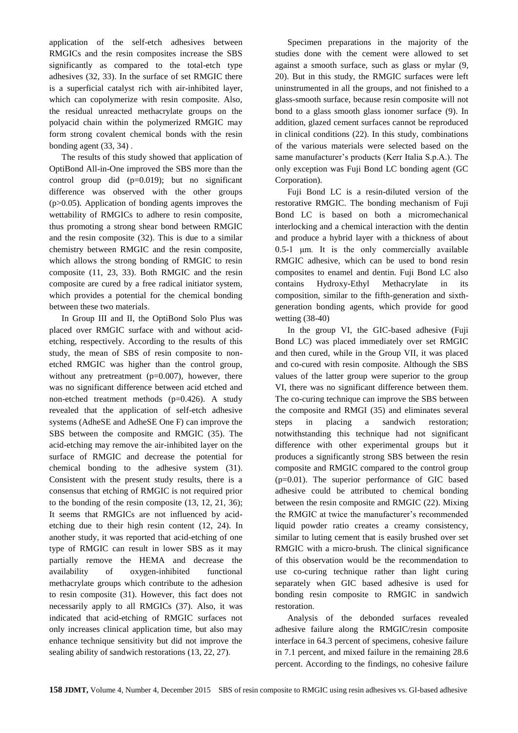application of the self-etch adhesives between RMGICs and the resin composites increase the SBS significantly as compared to the total-etch type adhesives (32, 33). In the surface of set RMGIC there is a superficial catalyst rich with air-inhibited layer, which can copolymerize with resin composite. Also, the residual unreacted methacrylate groups on the polyacid chain within the polymerized RMGIC may form strong covalent chemical bonds with the resin bonding agent (33, 34) .

The results of this study showed that application of OptiBond All-in-One improved the SBS more than the control group did (p=0.019); but no significant difference was observed with the other groups (p>0.05). Application of bonding agents improves the wettability of RMGICs to adhere to resin composite, thus promoting a strong shear bond between RMGIC and the resin composite (32). This is due to a similar chemistry between RMGIC and the resin composite, which allows the strong bonding of RMGIC to resin composite (11, 23, 33). Both RMGIC and the resin composite are cured by a free radical initiator system, which provides a potential for the chemical bonding between these two materials.

In Group III and II, the OptiBond Solo Plus was placed over RMGIC surface with and without acidetching, respectively. According to the results of this study, the mean of SBS of resin composite to nonetched RMGIC was higher than the control group, without any pretreatment (p=0.007), however, there was no significant difference between acid etched and non-etched treatment methods (p=0.426). A study revealed that the application of self-etch adhesive systems (AdheSE and AdheSE One F) can improve the SBS between the composite and RMGIC (35). The acid-etching may remove the air-inhibited layer on the surface of RMGIC and decrease the potential for chemical bonding to the adhesive system (31). Consistent with the present study results, there is a consensus that etching of RMGIC is not required prior to the bonding of the resin composite (13, 12, 21, 36); It seems that RMGICs are not influenced by acidetching due to their high resin content (12, 24). In another study, it was reported that acid-etching of one type of RMGIC can result in lower SBS as it may partially remove the HEMA and decrease the availability of oxygen-inhibited functional methacrylate groups which contribute to the adhesion to resin composite (31). However, this fact does not necessarily apply to all RMGICs (37). Also, it was indicated that acid-etching of RMGIC surfaces not only increases clinical application time, but also may enhance technique sensitivity but did not improve the sealing ability of sandwich restorations (13, 22, 27).

Specimen preparations in the majority of the studies done with the cement were allowed to set against a smooth surface, such as glass or mylar (9, 20). But in this study, the RMGIC surfaces were left uninstrumented in all the groups, and not finished to a glass-smooth surface, because resin composite will not bond to a glass smooth glass ionomer surface (9). In addition, glazed cement surfaces cannot be reproduced in clinical conditions (22). In this study, combinations of the various materials were selected based on the same manufacturer's products (Kerr Italia S.p.A.). The only exception was Fuji Bond LC bonding agent (GC Corporation).

Fuji Bond LC is a resin-diluted version of the restorative RMGIC. The bonding mechanism of Fuji Bond LC is based on both a micromechanical interlocking and a chemical interaction with the dentin and produce a hybrid layer with a thickness of about 0.5-1 μm. It is the only commercially available RMGIC adhesive, which can be used to bond resin composites to enamel and dentin. Fuji Bond LC also contains Hydroxy-Ethyl Methacrylate in its composition, similar to the fifth-generation and sixthgeneration bonding agents, which provide for good wetting (38-40)

In the group VI, the GIC-based adhesive (Fuji Bond LC) was placed immediately over set RMGIC and then cured, while in the Group VII, it was placed and co-cured with resin composite. Although the SBS values of the latter group were superior to the group VI, there was no significant difference between them. The co-curing technique can improve the SBS between the composite and RMGI (35) and eliminates several steps in placing a sandwich restoration; notwithstanding this technique had not significant difference with other experimental groups but it produces a significantly strong SBS between the resin composite and RMGIC compared to the control group (p=0.01). The superior performance of GIC based adhesive could be attributed to chemical bonding between the resin composite and RMGIC (22). Mixing the RMGIC at twice the manufacturer's recommended liquid powder ratio creates a creamy consistency, similar to luting cement that is easily brushed over set RMGIC with a micro-brush. The clinical significance of this observation would be the recommendation to use co-curing technique rather than light curing separately when GIC based adhesive is used for bonding resin composite to RMGIC in sandwich restoration.

Analysis of the debonded surfaces revealed adhesive failure along the RMGIC/resin composite interface in 64.3 percent of specimens, cohesive failure in 7.1 percent, and mixed failure in the remaining 28.6 percent. According to the findings, no cohesive failure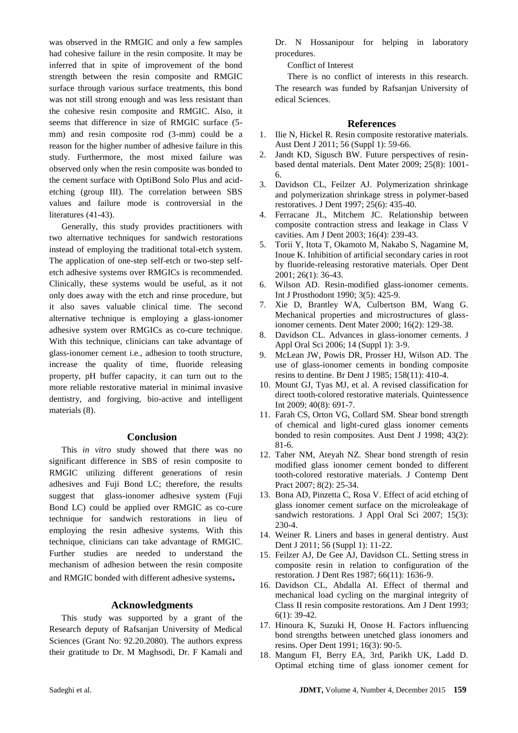was observed in the RMGIC and only a few samples had cohesive failure in the resin composite. It may be inferred that in spite of improvement of the bond strength between the resin composite and RMGIC surface through various surface treatments, this bond was not still strong enough and was less resistant than the cohesive resin composite and RMGIC. Also, it seems that difference in size of RMGIC surface (5 mm) and resin composite rod (3-mm) could be a reason for the higher number of adhesive failure in this study. Furthermore, the most mixed failure was observed only when the resin composite was bonded to the cement surface with OptiBond Solo Plus and acidetching (group III). The correlation between SBS values and failure mode is controversial in the literatures (41-43).

Generally, this study provides practitioners with two alternative techniques for sandwich restorations instead of employing the traditional total-etch system. The application of one-step self-etch or two-step selfetch adhesive systems over RMGICs is recommended. Clinically, these systems would be useful, as it not only does away with the etch and rinse procedure, but it also saves valuable clinical time. The second alternative technique is employing a glass-ionomer adhesive system over RMGICs as co-cure technique. With this technique, clinicians can take advantage of glass-ionomer cement i.e., adhesion to tooth structure, increase the quality of time, fluoride releasing property, pH buffer capacity, it can turn out to the more reliable restorative material in minimal invasive dentistry, and forgiving, bio-active and intelligent materials (8).

#### **Conclusion**

This *in vitro* study showed that there was no significant difference in SBS of resin composite to RMGIC utilizing different generations of resin adhesives and Fuji Bond LC; therefore, the results suggest that glass-ionomer adhesive system (Fuji Bond LC) could be applied over RMGIC as co-cure technique for sandwich restorations in lieu of employing the resin adhesive systems. With this technique, clinicians can take advantage of RMGIC. Further studies are needed to understand the mechanism of adhesion between the resin composite and RMGIC bonded with different adhesive systems**.**

#### **Acknowledgments**

This study was supported by a grant of the Research deputy of Rafsanjan University of Medical Sciences (Grant No: 92.20.2080). The authors express their gratitude to Dr. M Maghsodi, Dr. F Kamali and Dr. N Hossanipour for helping in laboratory procedures.

Conflict of Interest

There is no conflict of interests in this research. The research was funded by Rafsanjan University of edical Sciences.

#### **References**

- 1. Ilie N, Hickel R. Resin composite restorative materials. Aust Dent J 2011; 56 (Suppl 1): 59-66.
- 2. Jandt KD, Sigusch BW. Future perspectives of resinbased dental materials. Dent Mater 2009; 25(8): 1001- 6.
- 3. Davidson CL, Feilzer AJ. Polymerization shrinkage and polymerization shrinkage stress in polymer-based restoratives. J Dent 1997; 25(6): 435-40.
- 4. Ferracane JL, Mitchem JC. Relationship between composite contraction stress and leakage in Class V cavities. Am J Dent 2003; 16(4): 239-43.
- 5. Torii Y, Itota T, Okamoto M, Nakabo S, Nagamine M, Inoue K. Inhibition of artificial secondary caries in root by fluoride-releasing restorative materials. Oper Dent 2001; 26(1): 36-43.
- 6. Wilson AD. Resin-modified glass-ionomer cements. Int J Prosthodont 1990; 3(5): 425-9.
- 7. Xie D, Brantley WA, Culbertson BM, Wang G. Mechanical properties and microstructures of glassionomer cements. Dent Mater 2000; 16(2): 129-38.
- Davidson CL. Advances in glass-ionomer cements. J Appl Oral Sci 2006; 14 (Suppl 1): 3-9.
- 9. McLean JW, Powis DR, Prosser HJ, Wilson AD. The use of glass-ionomer cements in bonding composite resins to dentine. Br Dent J 1985; 158(11): 410-4.
- 10. Mount GJ, Tyas MJ, et al. A revised classification for direct tooth-colored restorative materials. Quintessence Int 2009; 40(8): 691-7.
- 11. Farah CS, Orton VG, Collard SM. Shear bond strength of chemical and light-cured glass ionomer cements bonded to resin composites. Aust Dent J 1998; 43(2): 81-6.
- 12. Taher NM, Ateyah NZ. Shear bond strength of resin modified glass ionomer cement bonded to different tooth-colored restorative materials. J Contemp Dent Pract 2007; 8(2): 25-34.
- 13. Bona AD, Pinzetta C, Rosa V. Effect of acid etching of glass ionomer cement surface on the microleakage of sandwich restorations. J Appl Oral Sci 2007; 15(3): 230-4.
- 14. Weiner R. Liners and bases in general dentistry. Aust Dent J 2011; 56 (Suppl 1): 11-22.
- 15. Feilzer AJ, De Gee AJ, Davidson CL. Setting stress in composite resin in relation to configuration of the restoration. J Dent Res 1987; 66(11): 1636-9.
- 16. Davidson CL, Abdalla AI. Effect of thermal and mechanical load cycling on the marginal integrity of Class II resin composite restorations. Am J Dent 1993; 6(1): 39-42.
- 17. Hinoura K, Suzuki H, Onose H. Factors influencing bond strengths between unetched glass ionomers and resins. Oper Dent 1991; 16(3): 90-5.
- 18. Mangum FI, Berry EA, 3rd, Parikh UK, Ladd D. Optimal etching time of glass ionomer cement for